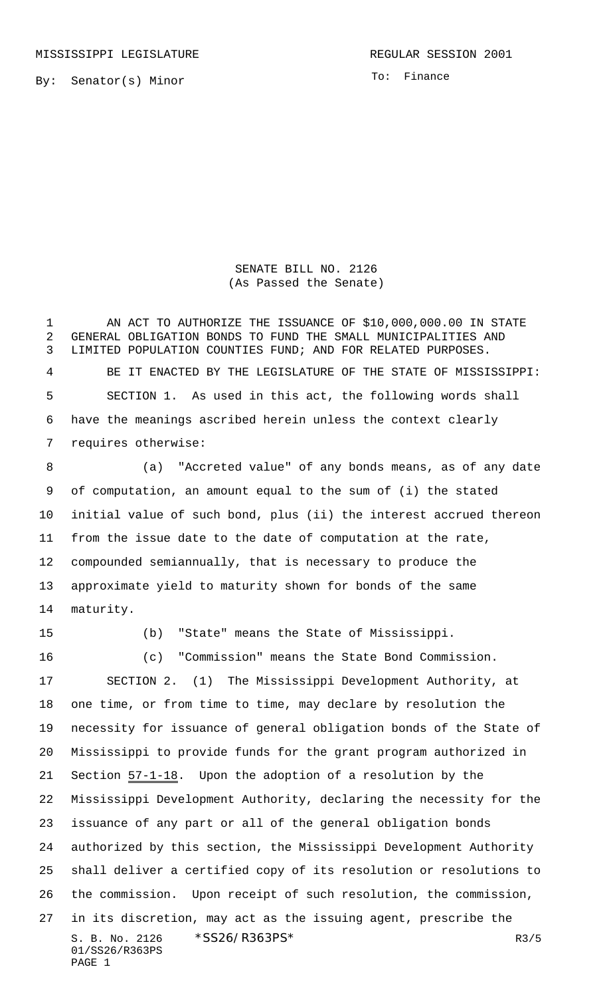MISSISSIPPI LEGISLATURE **REGULAR SESSION 2001** 

By: Senator(s) Minor

To: Finance

SENATE BILL NO. 2126 (As Passed the Senate)

1 AN ACT TO AUTHORIZE THE ISSUANCE OF \$10,000,000.00 IN STATE GENERAL OBLIGATION BONDS TO FUND THE SMALL MUNICIPALITIES AND LIMITED POPULATION COUNTIES FUND; AND FOR RELATED PURPOSES. BE IT ENACTED BY THE LEGISLATURE OF THE STATE OF MISSISSIPPI: SECTION 1. As used in this act, the following words shall have the meanings ascribed herein unless the context clearly requires otherwise:

 (a) "Accreted value" of any bonds means, as of any date of computation, an amount equal to the sum of (i) the stated initial value of such bond, plus (ii) the interest accrued thereon from the issue date to the date of computation at the rate, compounded semiannually, that is necessary to produce the approximate yield to maturity shown for bonds of the same maturity.

 (b) "State" means the State of Mississippi. (c) "Commission" means the State Bond Commission.

S. B. No. 2126 \* SS26/R363PS\* R3/5 01/SS26/R363PS PAGE 1 SECTION 2. (1) The Mississippi Development Authority, at one time, or from time to time, may declare by resolution the necessity for issuance of general obligation bonds of the State of Mississippi to provide funds for the grant program authorized in 21 Section  $57-1-18$ . Upon the adoption of a resolution by the Mississippi Development Authority, declaring the necessity for the issuance of any part or all of the general obligation bonds authorized by this section, the Mississippi Development Authority shall deliver a certified copy of its resolution or resolutions to the commission. Upon receipt of such resolution, the commission, in its discretion, may act as the issuing agent, prescribe the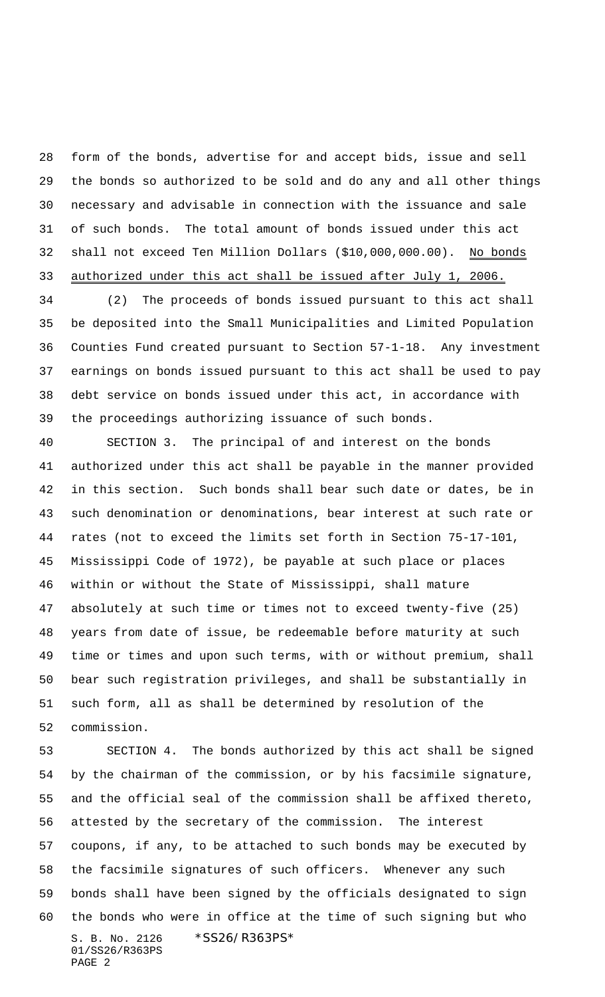form of the bonds, advertise for and accept bids, issue and sell the bonds so authorized to be sold and do any and all other things necessary and advisable in connection with the issuance and sale of such bonds. The total amount of bonds issued under this act 32 shall not exceed Ten Million Dollars (\$10,000,000.00). No bonds authorized under this act shall be issued after July 1, 2006.

 (2) The proceeds of bonds issued pursuant to this act shall be deposited into the Small Municipalities and Limited Population Counties Fund created pursuant to Section 57-1-18. Any investment earnings on bonds issued pursuant to this act shall be used to pay debt service on bonds issued under this act, in accordance with the proceedings authorizing issuance of such bonds.

 SECTION 3. The principal of and interest on the bonds authorized under this act shall be payable in the manner provided in this section. Such bonds shall bear such date or dates, be in such denomination or denominations, bear interest at such rate or rates (not to exceed the limits set forth in Section 75-17-101, Mississippi Code of 1972), be payable at such place or places within or without the State of Mississippi, shall mature absolutely at such time or times not to exceed twenty-five (25) years from date of issue, be redeemable before maturity at such time or times and upon such terms, with or without premium, shall bear such registration privileges, and shall be substantially in such form, all as shall be determined by resolution of the commission.

S. B. No. 2126 \*SS26/R363PS\* 01/SS26/R363PS PAGE 2 SECTION 4. The bonds authorized by this act shall be signed by the chairman of the commission, or by his facsimile signature, and the official seal of the commission shall be affixed thereto, attested by the secretary of the commission. The interest coupons, if any, to be attached to such bonds may be executed by the facsimile signatures of such officers. Whenever any such bonds shall have been signed by the officials designated to sign the bonds who were in office at the time of such signing but who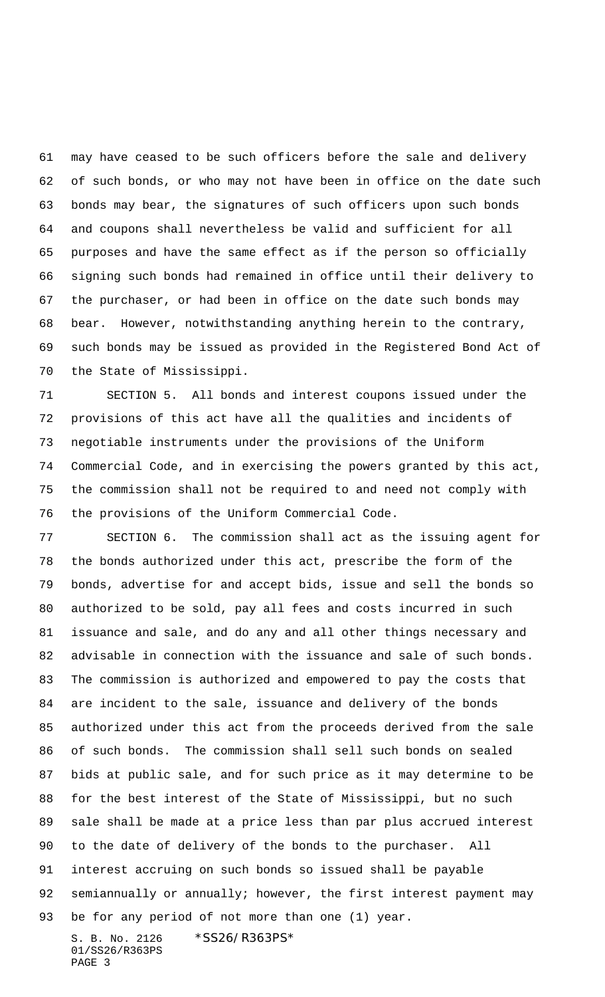may have ceased to be such officers before the sale and delivery of such bonds, or who may not have been in office on the date such bonds may bear, the signatures of such officers upon such bonds and coupons shall nevertheless be valid and sufficient for all purposes and have the same effect as if the person so officially signing such bonds had remained in office until their delivery to the purchaser, or had been in office on the date such bonds may bear. However, notwithstanding anything herein to the contrary, such bonds may be issued as provided in the Registered Bond Act of the State of Mississippi.

 SECTION 5. All bonds and interest coupons issued under the provisions of this act have all the qualities and incidents of negotiable instruments under the provisions of the Uniform Commercial Code, and in exercising the powers granted by this act, the commission shall not be required to and need not comply with the provisions of the Uniform Commercial Code.

S. B. No. 2126 \*SS26/R363PS\* SECTION 6. The commission shall act as the issuing agent for the bonds authorized under this act, prescribe the form of the bonds, advertise for and accept bids, issue and sell the bonds so authorized to be sold, pay all fees and costs incurred in such issuance and sale, and do any and all other things necessary and advisable in connection with the issuance and sale of such bonds. The commission is authorized and empowered to pay the costs that are incident to the sale, issuance and delivery of the bonds authorized under this act from the proceeds derived from the sale of such bonds. The commission shall sell such bonds on sealed bids at public sale, and for such price as it may determine to be for the best interest of the State of Mississippi, but no such sale shall be made at a price less than par plus accrued interest to the date of delivery of the bonds to the purchaser. All interest accruing on such bonds so issued shall be payable 92 semiannually or annually; however, the first interest payment may be for any period of not more than one (1) year.

01/SS26/R363PS PAGE 3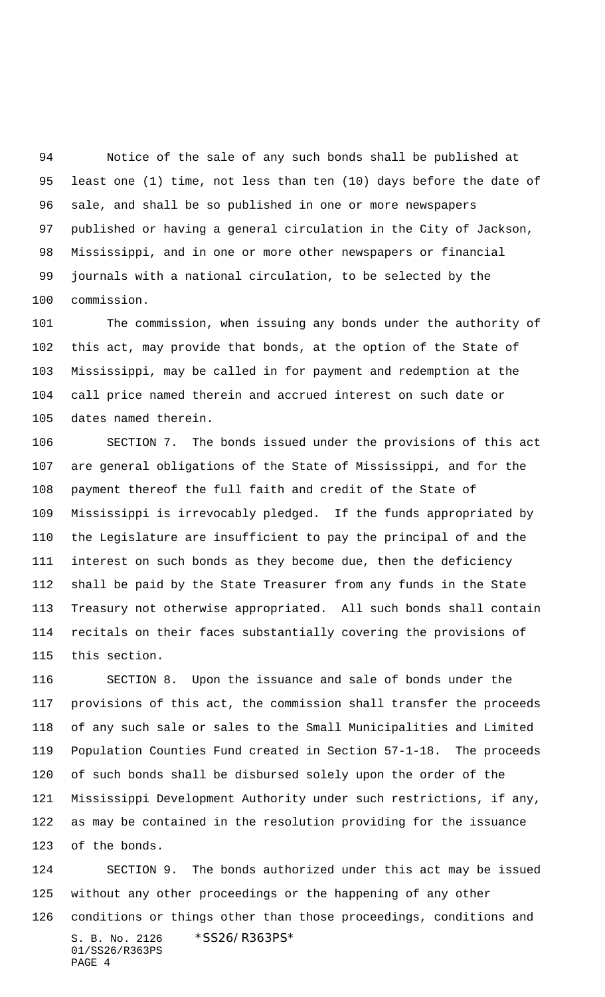Notice of the sale of any such bonds shall be published at least one (1) time, not less than ten (10) days before the date of sale, and shall be so published in one or more newspapers published or having a general circulation in the City of Jackson, Mississippi, and in one or more other newspapers or financial journals with a national circulation, to be selected by the commission.

 The commission, when issuing any bonds under the authority of this act, may provide that bonds, at the option of the State of Mississippi, may be called in for payment and redemption at the call price named therein and accrued interest on such date or dates named therein.

 SECTION 7. The bonds issued under the provisions of this act are general obligations of the State of Mississippi, and for the payment thereof the full faith and credit of the State of Mississippi is irrevocably pledged. If the funds appropriated by the Legislature are insufficient to pay the principal of and the interest on such bonds as they become due, then the deficiency shall be paid by the State Treasurer from any funds in the State Treasury not otherwise appropriated. All such bonds shall contain recitals on their faces substantially covering the provisions of this section.

 SECTION 8. Upon the issuance and sale of bonds under the provisions of this act, the commission shall transfer the proceeds of any such sale or sales to the Small Municipalities and Limited Population Counties Fund created in Section 57-1-18. The proceeds of such bonds shall be disbursed solely upon the order of the Mississippi Development Authority under such restrictions, if any, as may be contained in the resolution providing for the issuance of the bonds.

S. B. No. 2126 \* SS26/R363PS\* 01/SS26/R363PS PAGE 4 SECTION 9. The bonds authorized under this act may be issued without any other proceedings or the happening of any other conditions or things other than those proceedings, conditions and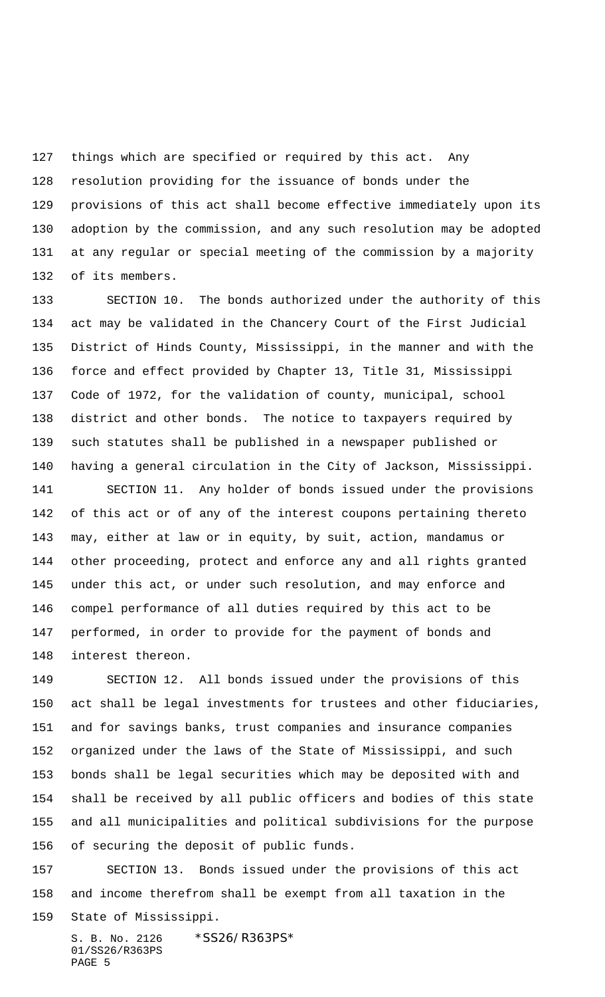things which are specified or required by this act. Any resolution providing for the issuance of bonds under the provisions of this act shall become effective immediately upon its adoption by the commission, and any such resolution may be adopted at any regular or special meeting of the commission by a majority of its members.

 SECTION 10. The bonds authorized under the authority of this act may be validated in the Chancery Court of the First Judicial District of Hinds County, Mississippi, in the manner and with the force and effect provided by Chapter 13, Title 31, Mississippi Code of 1972, for the validation of county, municipal, school district and other bonds. The notice to taxpayers required by such statutes shall be published in a newspaper published or having a general circulation in the City of Jackson, Mississippi.

 SECTION 11. Any holder of bonds issued under the provisions of this act or of any of the interest coupons pertaining thereto may, either at law or in equity, by suit, action, mandamus or other proceeding, protect and enforce any and all rights granted under this act, or under such resolution, and may enforce and compel performance of all duties required by this act to be performed, in order to provide for the payment of bonds and interest thereon.

 SECTION 12. All bonds issued under the provisions of this act shall be legal investments for trustees and other fiduciaries, and for savings banks, trust companies and insurance companies organized under the laws of the State of Mississippi, and such bonds shall be legal securities which may be deposited with and shall be received by all public officers and bodies of this state and all municipalities and political subdivisions for the purpose of securing the deposit of public funds.

 SECTION 13. Bonds issued under the provisions of this act and income therefrom shall be exempt from all taxation in the State of Mississippi.

S. B. No. 2126 \*SS26/R363PS\* 01/SS26/R363PS PAGE 5